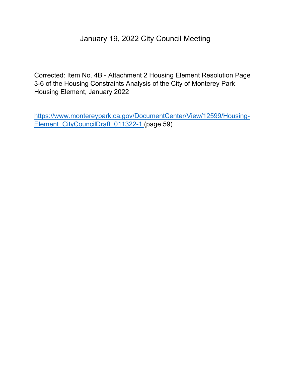## January 19, 2022 City Council Meeting

Corrected: Item No. 4B - Attachment 2 Housing Element Resolution Page 3-6 of the Housing Constraints Analysis of the City of Monterey Park Housing Element, January 2022

[https://www.montereypark.ca.gov/DocumentCenter/View/12599/Housing-](https://www.montereypark.ca.gov/DocumentCenter/View/12599/Housing-Element_CityCouncilDraft_011322-1)[Element\\_CityCouncilDraft\\_011322-1](https://www.montereypark.ca.gov/DocumentCenter/View/12599/Housing-Element_CityCouncilDraft_011322-1) (page 59)